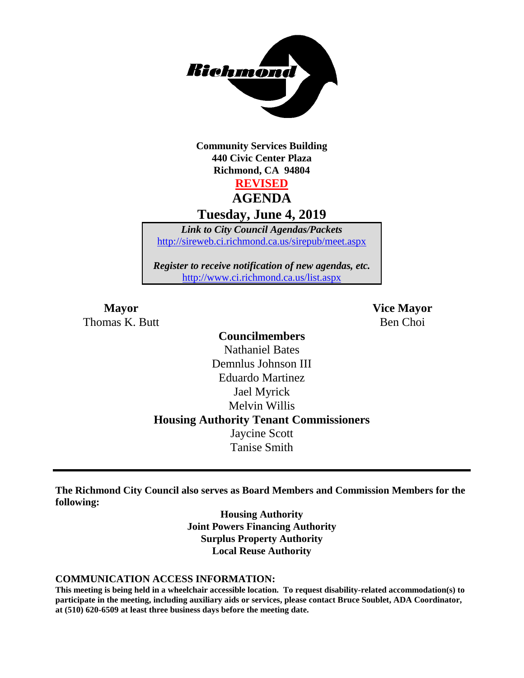

**Community Services Building 440 Civic Center Plaza Richmond, CA 94804 REVISED AGENDA**

**Tuesday, June 4, 2019**

*Link to City Council Agendas/Packets* <http://sireweb.ci.richmond.ca.us/sirepub/meet.aspx>

*Register to receive notification of new agendas, etc.* <http://www.ci.richmond.ca.us/list.aspx>

**Mayor Vice Mayor** Thomas K. Butt Ben Choi and Ben Choi Ben Choi Ben Choi Ben Choi Ben Choi Ben Choi Ben Choi Ben Choi Ben Choi Ben Choi Ben Choi Ben Choi Ben Choi Ben Choi Ben Choi Ben Choi Ben Choi Ben Choi Ben Choi Ben Choi Ben Choi Ben C

**Councilmembers** Nathaniel Bates Demnlus Johnson III Eduardo Martinez Jael Myrick Melvin Willis **Housing Authority Tenant Commissioners** Jaycine Scott Tanise Smith

**The Richmond City Council also serves as Board Members and Commission Members for the following:**

> **Housing Authority Joint Powers Financing Authority Surplus Property Authority Local Reuse Authority**

#### **COMMUNICATION ACCESS INFORMATION:**

**This meeting is being held in a wheelchair accessible location. To request disability-related accommodation(s) to participate in the meeting, including auxiliary aids or services, please contact Bruce Soublet, ADA Coordinator, at (510) 620-6509 at least three business days before the meeting date.**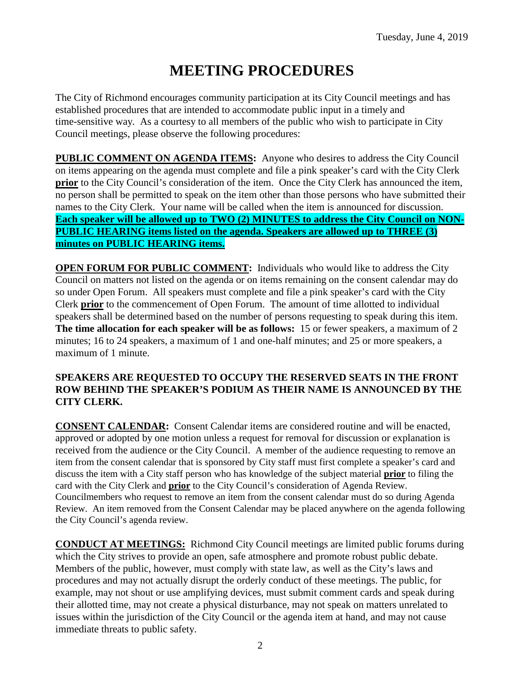# **MEETING PROCEDURES**

The City of Richmond encourages community participation at its City Council meetings and has established procedures that are intended to accommodate public input in a timely and time-sensitive way. As a courtesy to all members of the public who wish to participate in City Council meetings, please observe the following procedures:

**PUBLIC COMMENT ON AGENDA ITEMS:** Anyone who desires to address the City Council on items appearing on the agenda must complete and file a pink speaker's card with the City Clerk **prior** to the City Council's consideration of the item. Once the City Clerk has announced the item, no person shall be permitted to speak on the item other than those persons who have submitted their names to the City Clerk. Your name will be called when the item is announced for discussion. **Each speaker will be allowed up to TWO (2) MINUTES to address the City Council on NON-PUBLIC HEARING items listed on the agenda. Speakers are allowed up to THREE (3) minutes on PUBLIC HEARING items.**

**OPEN FORUM FOR PUBLIC COMMENT:** Individuals who would like to address the City Council on matters not listed on the agenda or on items remaining on the consent calendar may do so under Open Forum. All speakers must complete and file a pink speaker's card with the City Clerk **prior** to the commencement of Open Forum. The amount of time allotted to individual speakers shall be determined based on the number of persons requesting to speak during this item. **The time allocation for each speaker will be as follows:** 15 or fewer speakers, a maximum of 2 minutes; 16 to 24 speakers, a maximum of 1 and one-half minutes; and 25 or more speakers, a maximum of 1 minute.

#### **SPEAKERS ARE REQUESTED TO OCCUPY THE RESERVED SEATS IN THE FRONT ROW BEHIND THE SPEAKER'S PODIUM AS THEIR NAME IS ANNOUNCED BY THE CITY CLERK.**

**CONSENT CALENDAR:** Consent Calendar items are considered routine and will be enacted, approved or adopted by one motion unless a request for removal for discussion or explanation is received from the audience or the City Council. A member of the audience requesting to remove an item from the consent calendar that is sponsored by City staff must first complete a speaker's card and discuss the item with a City staff person who has knowledge of the subject material **prior** to filing the card with the City Clerk and **prior** to the City Council's consideration of Agenda Review. Councilmembers who request to remove an item from the consent calendar must do so during Agenda Review. An item removed from the Consent Calendar may be placed anywhere on the agenda following the City Council's agenda review.

**CONDUCT AT MEETINGS:** Richmond City Council meetings are limited public forums during which the City strives to provide an open, safe atmosphere and promote robust public debate. Members of the public, however, must comply with state law, as well as the City's laws and procedures and may not actually disrupt the orderly conduct of these meetings. The public, for example, may not shout or use amplifying devices, must submit comment cards and speak during their allotted time, may not create a physical disturbance, may not speak on matters unrelated to issues within the jurisdiction of the City Council or the agenda item at hand, and may not cause immediate threats to public safety.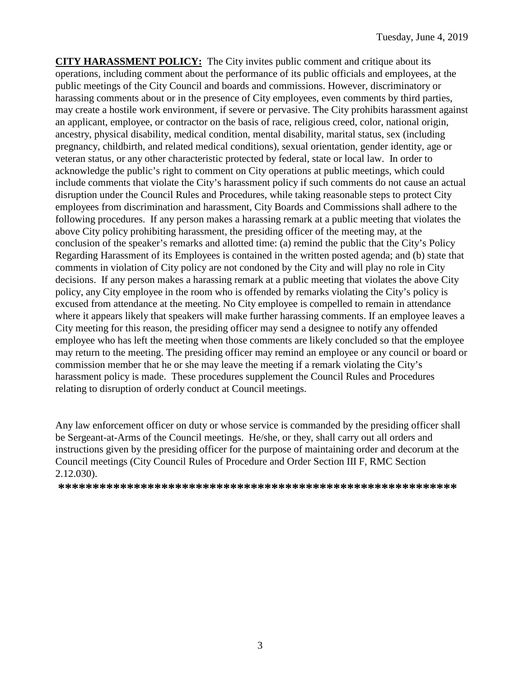**CITY HARASSMENT POLICY:** The City invites public comment and critique about its operations, including comment about the performance of its public officials and employees, at the public meetings of the City Council and boards and commissions. However, discriminatory or harassing comments about or in the presence of City employees, even comments by third parties, may create a hostile work environment, if severe or pervasive. The City prohibits harassment against an applicant, employee, or contractor on the basis of race, religious creed, color, national origin, ancestry, physical disability, medical condition, mental disability, marital status, sex (including pregnancy, childbirth, and related medical conditions), sexual orientation, gender identity, age or veteran status, or any other characteristic protected by federal, state or local law. In order to acknowledge the public's right to comment on City operations at public meetings, which could include comments that violate the City's harassment policy if such comments do not cause an actual disruption under the Council Rules and Procedures, while taking reasonable steps to protect City employees from discrimination and harassment, City Boards and Commissions shall adhere to the following procedures. If any person makes a harassing remark at a public meeting that violates the above City policy prohibiting harassment, the presiding officer of the meeting may, at the conclusion of the speaker's remarks and allotted time: (a) remind the public that the City's Policy Regarding Harassment of its Employees is contained in the written posted agenda; and (b) state that comments in violation of City policy are not condoned by the City and will play no role in City decisions. If any person makes a harassing remark at a public meeting that violates the above City policy, any City employee in the room who is offended by remarks violating the City's policy is excused from attendance at the meeting. No City employee is compelled to remain in attendance where it appears likely that speakers will make further harassing comments. If an employee leaves a City meeting for this reason, the presiding officer may send a designee to notify any offended employee who has left the meeting when those comments are likely concluded so that the employee may return to the meeting. The presiding officer may remind an employee or any council or board or commission member that he or she may leave the meeting if a remark violating the City's harassment policy is made. These procedures supplement the Council Rules and Procedures relating to disruption of orderly conduct at Council meetings.

Any law enforcement officer on duty or whose service is commanded by the presiding officer shall be Sergeant-at-Arms of the Council meetings. He/she, or they, shall carry out all orders and instructions given by the presiding officer for the purpose of maintaining order and decorum at the Council meetings (City Council Rules of Procedure and Order Section III F, RMC Section 2.12.030).

**\*\*\*\*\*\*\*\*\*\*\*\*\*\*\*\*\*\*\*\*\*\*\*\*\*\*\*\*\*\*\*\*\*\*\*\*\*\*\*\*\*\*\*\*\*\*\*\*\*\*\*\*\*\*\*\*\*\***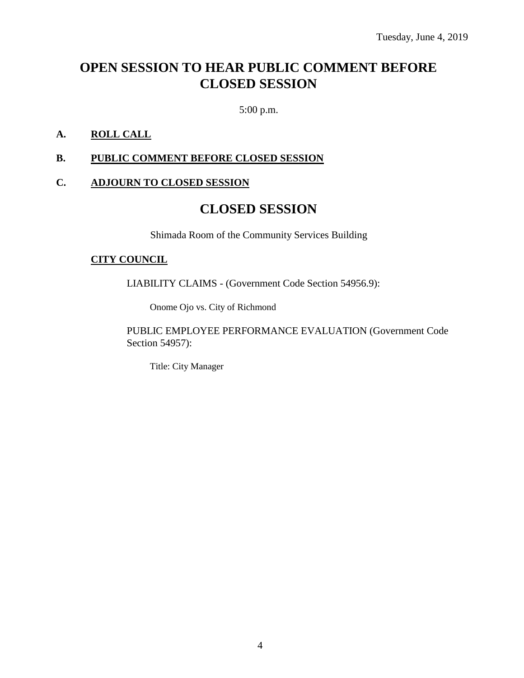# **OPEN SESSION TO HEAR PUBLIC COMMENT BEFORE CLOSED SESSION**

5:00 p.m.

#### **A. ROLL CALL**

#### **B. PUBLIC COMMENT BEFORE CLOSED SESSION**

#### **C. ADJOURN TO CLOSED SESSION**

# **CLOSED SESSION**

Shimada Room of the Community Services Building

#### **CITY COUNCIL**

LIABILITY CLAIMS - (Government Code Section 54956.9):

Onome Ojo vs. City of Richmond

PUBLIC EMPLOYEE PERFORMANCE EVALUATION (Government Code Section 54957):

Title: City Manager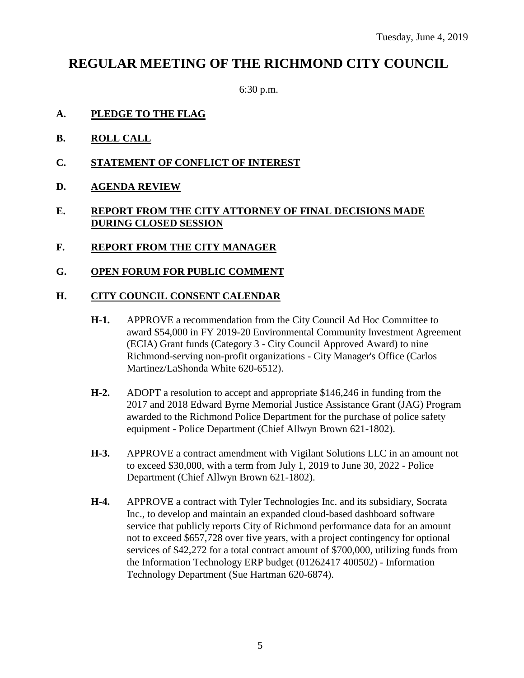# **REGULAR MEETING OF THE RICHMOND CITY COUNCIL**

6:30 p.m.

- **A. PLEDGE TO THE FLAG**
- **B. ROLL CALL**
- **C. STATEMENT OF CONFLICT OF INTEREST**
- **D. AGENDA REVIEW**

#### **E. REPORT FROM THE CITY ATTORNEY OF FINAL DECISIONS MADE DURING CLOSED SESSION**

- **F. REPORT FROM THE CITY MANAGER**
- **G. OPEN FORUM FOR PUBLIC COMMENT**

#### **H. CITY COUNCIL CONSENT CALENDAR**

- **H-1.** APPROVE a recommendation from the City Council Ad Hoc Committee to award \$54,000 in FY 2019-20 Environmental Community Investment Agreement (ECIA) Grant funds (Category 3 - City Council Approved Award) to nine Richmond-serving non-profit organizations - City Manager's Office (Carlos Martinez/LaShonda White 620-6512).
- **H-2.** ADOPT a resolution to accept and appropriate \$146,246 in funding from the 2017 and 2018 Edward Byrne Memorial Justice Assistance Grant (JAG) Program awarded to the Richmond Police Department for the purchase of police safety equipment - Police Department (Chief Allwyn Brown 621-1802).
- **H-3.** APPROVE a contract amendment with Vigilant Solutions LLC in an amount not to exceed \$30,000, with a term from July 1, 2019 to June 30, 2022 - Police Department (Chief Allwyn Brown 621-1802).
- **H-4.** APPROVE a contract with Tyler Technologies Inc. and its subsidiary, Socrata Inc., to develop and maintain an expanded cloud-based dashboard software service that publicly reports City of Richmond performance data for an amount not to exceed \$657,728 over five years, with a project contingency for optional services of \$42,272 for a total contract amount of \$700,000, utilizing funds from the Information Technology ERP budget (01262417 400502) - Information Technology Department (Sue Hartman 620-6874).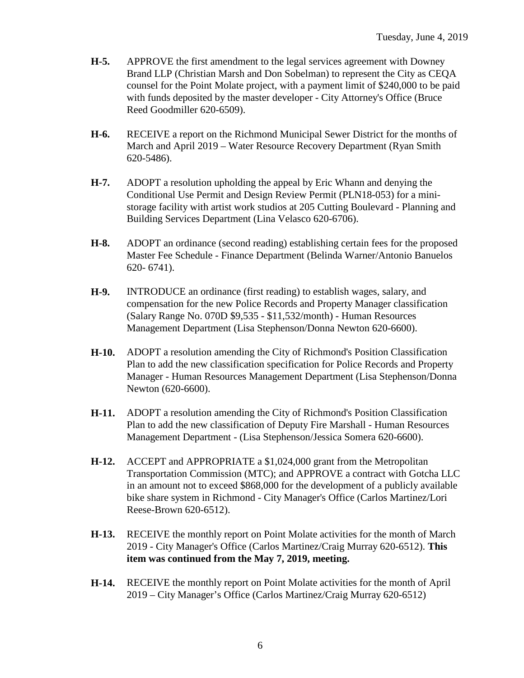- **H-5.** APPROVE the first amendment to the legal services agreement with Downey Brand LLP (Christian Marsh and Don Sobelman) to represent the City as CEQA counsel for the Point Molate project, with a payment limit of \$240,000 to be paid with funds deposited by the master developer - City Attorney's Office (Bruce Reed Goodmiller 620-6509).
- **H-6.** RECEIVE a report on the Richmond Municipal Sewer District for the months of March and April 2019 – Water Resource Recovery Department (Ryan Smith 620-5486).
- **H-7.** ADOPT a resolution upholding the appeal by Eric Whann and denying the Conditional Use Permit and Design Review Permit (PLN18-053) for a ministorage facility with artist work studios at 205 Cutting Boulevard - Planning and Building Services Department (Lina Velasco 620-6706).
- **H-8.** ADOPT an ordinance (second reading) establishing certain fees for the proposed Master Fee Schedule - Finance Department (Belinda Warner/Antonio Banuelos 620- 6741).
- **H-9.** INTRODUCE an ordinance (first reading) to establish wages, salary, and compensation for the new Police Records and Property Manager classification (Salary Range No. 070D \$9,535 - \$11,532/month) - Human Resources Management Department (Lisa Stephenson/Donna Newton 620-6600).
- **H-10.** ADOPT a resolution amending the City of Richmond's Position Classification Plan to add the new classification specification for Police Records and Property Manager - Human Resources Management Department (Lisa Stephenson/Donna Newton (620-6600).
- **H-11.** ADOPT a resolution amending the City of Richmond's Position Classification Plan to add the new classification of Deputy Fire Marshall - Human Resources Management Department - (Lisa Stephenson/Jessica Somera 620-6600).
- **H-12.** ACCEPT and APPROPRIATE a \$1,024,000 grant from the Metropolitan Transportation Commission (MTC); and APPROVE a contract with Gotcha LLC in an amount not to exceed \$868,000 for the development of a publicly available bike share system in Richmond - City Manager's Office (Carlos Martinez/Lori Reese-Brown 620-6512).
- **H-13.** RECEIVE the monthly report on Point Molate activities for the month of March 2019 - City Manager's Office (Carlos Martinez/Craig Murray 620-6512). **This item was continued from the May 7, 2019, meeting.**
- **H-14.** RECEIVE the monthly report on Point Molate activities for the month of April 2019 – City Manager's Office (Carlos Martinez/Craig Murray 620-6512)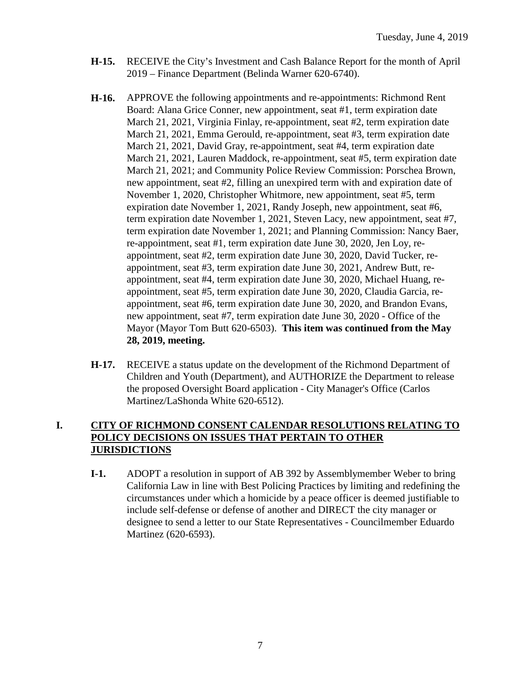- **H-15.** RECEIVE the City's Investment and Cash Balance Report for the month of April 2019 – Finance Department (Belinda Warner 620-6740).
- **H-16.** APPROVE the following appointments and re-appointments: Richmond Rent Board: Alana Grice Conner, new appointment, seat #1, term expiration date March 21, 2021, Virginia Finlay, re-appointment, seat #2, term expiration date March 21, 2021, Emma Gerould, re-appointment, seat #3, term expiration date March 21, 2021, David Gray, re-appointment, seat #4, term expiration date March 21, 2021, Lauren Maddock, re-appointment, seat #5, term expiration date March 21, 2021; and Community Police Review Commission: Porschea Brown, new appointment, seat #2, filling an unexpired term with and expiration date of November 1, 2020, Christopher Whitmore, new appointment, seat #5, term expiration date November 1, 2021, Randy Joseph, new appointment, seat #6, term expiration date November 1, 2021, Steven Lacy, new appointment, seat #7, term expiration date November 1, 2021; and Planning Commission: Nancy Baer, re-appointment, seat #1, term expiration date June 30, 2020, Jen Loy, reappointment, seat #2, term expiration date June 30, 2020, David Tucker, reappointment, seat #3, term expiration date June 30, 2021, Andrew Butt, reappointment, seat #4, term expiration date June 30, 2020, Michael Huang, reappointment, seat #5, term expiration date June 30, 2020, Claudia Garcia, reappointment, seat #6, term expiration date June 30, 2020, and Brandon Evans, new appointment, seat #7, term expiration date June 30, 2020 - Office of the Mayor (Mayor Tom Butt 620-6503). **This item was continued from the May 28, 2019, meeting.**
- **H-17.** RECEIVE a status update on the development of the Richmond Department of Children and Youth (Department), and AUTHORIZE the Department to release the proposed Oversight Board application - City Manager's Office (Carlos Martinez/LaShonda White 620-6512).

#### **I. CITY OF RICHMOND CONSENT CALENDAR RESOLUTIONS RELATING TO POLICY DECISIONS ON ISSUES THAT PERTAIN TO OTHER JURISDICTIONS**

**I-1.** ADOPT a resolution in support of AB 392 by Assemblymember Weber to bring California Law in line with Best Policing Practices by limiting and redefining the circumstances under which a homicide by a peace officer is deemed justifiable to include self-defense or defense of another and DIRECT the city manager or designee to send a letter to our State Representatives - Councilmember Eduardo Martinez (620-6593).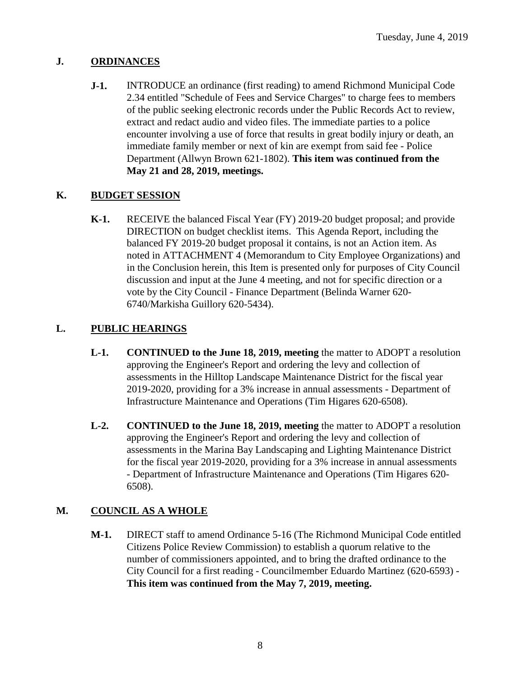### **J. ORDINANCES**

**J-1.** INTRODUCE an ordinance (first reading) to amend Richmond Municipal Code 2.34 entitled "Schedule of Fees and Service Charges" to charge fees to members of the public seeking electronic records under the Public Records Act to review, extract and redact audio and video files. The immediate parties to a police encounter involving a use of force that results in great bodily injury or death, an immediate family member or next of kin are exempt from said fee - Police Department (Allwyn Brown 621-1802). **This item was continued from the May 21 and 28, 2019, meetings.**

## **K. BUDGET SESSION**

**K-1.** RECEIVE the balanced Fiscal Year (FY) 2019-20 budget proposal; and provide DIRECTION on budget checklist items. This Agenda Report, including the balanced FY 2019-20 budget proposal it contains, is not an Action item. As noted in ATTACHMENT 4 (Memorandum to City Employee Organizations) and in the Conclusion herein, this Item is presented only for purposes of City Council discussion and input at the June 4 meeting, and not for specific direction or a vote by the City Council - Finance Department (Belinda Warner 620- 6740/Markisha Guillory 620-5434).

## **L. PUBLIC HEARINGS**

- **L-1. CONTINUED to the June 18, 2019, meeting** the matter to ADOPT a resolution approving the Engineer's Report and ordering the levy and collection of assessments in the Hilltop Landscape Maintenance District for the fiscal year 2019-2020, providing for a 3% increase in annual assessments - Department of Infrastructure Maintenance and Operations (Tim Higares 620-6508).
- **L-2. CONTINUED to the June 18, 2019, meeting** the matter to ADOPT a resolution approving the Engineer's Report and ordering the levy and collection of assessments in the Marina Bay Landscaping and Lighting Maintenance District for the fiscal year 2019-2020, providing for a 3% increase in annual assessments - Department of Infrastructure Maintenance and Operations (Tim Higares 620- 6508).

# **M. COUNCIL AS A WHOLE**

**M-1.** DIRECT staff to amend Ordinance 5-16 (The Richmond Municipal Code entitled Citizens Police Review Commission) to establish a quorum relative to the number of commissioners appointed, and to bring the drafted ordinance to the City Council for a first reading - Councilmember Eduardo Martinez (620-6593) - **This item was continued from the May 7, 2019, meeting.**